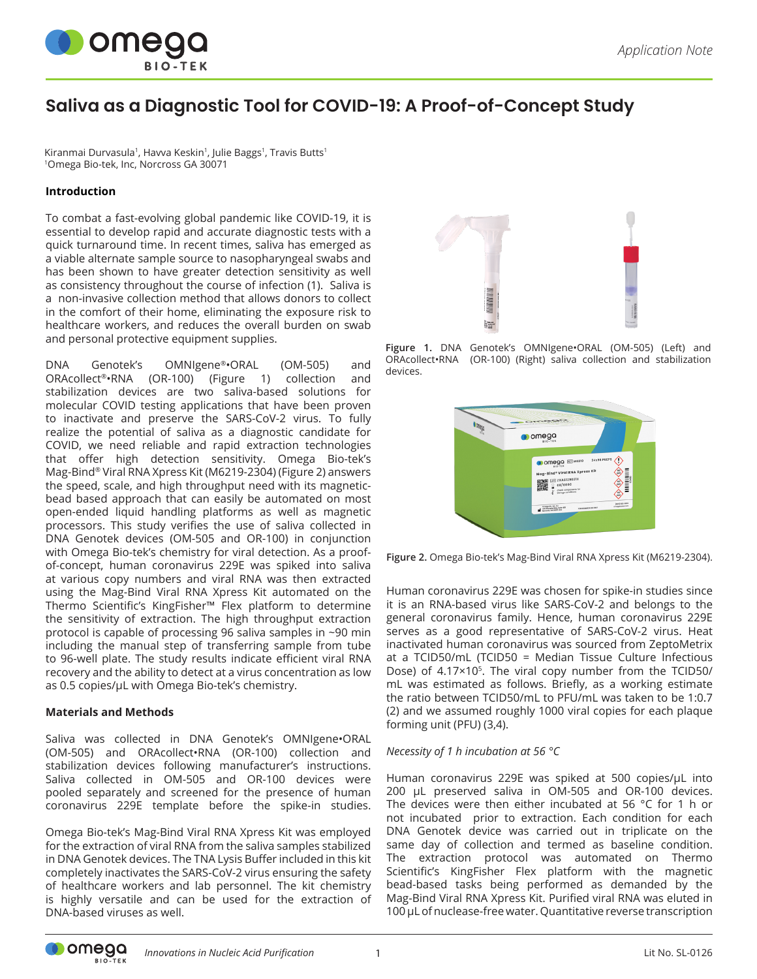

# **Saliva as a Diagnostic Tool for COVID-19: A Proof-of-Concept Study**

Kiranmai Durvasula<sup>1</sup>, Havva Keskin<sup>1</sup>, Julie Baggs<sup>1</sup>, Travis Butts<sup>1</sup> <sup>1</sup>Omega Bio-tek, Inc, Norcross GA 30071

# **Introduction**

To combat a fast-evolving global pandemic like COVID-19, it is essential to develop rapid and accurate diagnostic tests with a quick turnaround time. In recent times, saliva has emerged as a viable alternate sample source to nasopharyngeal swabs and has been shown to have greater detection sensitivity as well as consistency throughout the course of infection (1). Saliva is a non-invasive collection method that allows donors to collect in the comfort of their home, eliminating the exposure risk to healthcare workers, and reduces the overall burden on swab and personal protective equipment supplies.

DNA Genotek's OMNIgene®•ORAL (OM-505) and ORAcollect®•RNA (OR-100) (Figure 1) collection and stabilization devices are two saliva-based solutions for molecular COVID testing applications that have been proven to inactivate and preserve the SARS-CoV-2 virus. To fully realize the potential of saliva as a diagnostic candidate for COVID, we need reliable and rapid extraction technologies that offer high detection sensitivity. Omega Bio-tek's Mag-Bind® Viral RNA Xpress Kit (M6219-2304) (Figure 2) answers the speed, scale, and high throughput need with its magneticbead based approach that can easily be automated on most open-ended liquid handling platforms as well as magnetic processors. This study verifies the use of saliva collected in DNA Genotek devices (OM-505 and OR-100) in conjunction with Omega Bio-tek's chemistry for viral detection. As a proofof-concept, human coronavirus 229E was spiked into saliva at various copy numbers and viral RNA was then extracted using the Mag-Bind Viral RNA Xpress Kit automated on the Thermo Scientific's KingFisher™ Flex platform to determine the sensitivity of extraction. The high throughput extraction protocol is capable of processing 96 saliva samples in ~90 min including the manual step of transferring sample from tube to 96-well plate. The study results indicate efficient viral RNA recovery and the ability to detect at a virus concentration as low as 0.5 copies/µL with Omega Bio-tek's chemistry.

# **Materials and Methods**

Saliva was collected in DNA Genotek's OMNIgene•ORAL (OM-505) and ORAcollect•RNA (OR-100) collection and stabilization devices following manufacturer's instructions. Saliva collected in OM-505 and OR-100 devices were pooled separately and screened for the presence of human coronavirus 229E template before the spike-in studies.

Omega Bio-tek's Mag-Bind Viral RNA Xpress Kit was employed for the extraction of viral RNA from the saliva samples stabilized in DNA Genotek devices. The TNA Lysis Buffer included in this kit completely inactivates the SARS-CoV-2 virus ensuring the safety of healthcare workers and lab personnel. The kit chemistry is highly versatile and can be used for the extraction of DNA-based viruses as well.



**Figure 1.** DNA Genotek's OMNIgene•ORAL (OM-505) (Left) and ORAcollect•RNA (OR-100) (Right) saliva collection and stabilization devices.



**Figure 2.** Omega Bio-tek's Mag-Bind Viral RNA Xpress Kit (M6219-2304).

Human coronavirus 229E was chosen for spike-in studies since it is an RNA-based virus like SARS-CoV-2 and belongs to the general coronavirus family. Hence, human coronavirus 229E serves as a good representative of SARS-CoV-2 virus. Heat inactivated human coronavirus was sourced from ZeptoMetrix at a TCID50/mL (TCID50 = Median Tissue Culture Infectious Dose) of 4.17×10<sup>5</sup>. The viral copy number from the TCID50/ mL was estimated as follows. Briefly, as a working estimate the ratio between TCID50/mL to PFU/mL was taken to be 1:0.7 (2) and we assumed roughly 1000 viral copies for each plaque forming unit (PFU) (3,4).

# *Necessity of 1 h incubation at 56 °C*

Human coronavirus 229E was spiked at 500 copies/µL into 200 µL preserved saliva in OM-505 and OR-100 devices. The devices were then either incubated at 56 °C for 1 h or not incubated prior to extraction. Each condition for each DNA Genotek device was carried out in triplicate on the same day of collection and termed as baseline condition. The extraction protocol was automated on Thermo Scientific's KingFisher Flex platform with the magnetic bead-based tasks being performed as demanded by the Mag-Bind Viral RNA Xpress Kit. Purified viral RNA was eluted in 100 µL of nuclease-free water. Quantitative reverse transcription

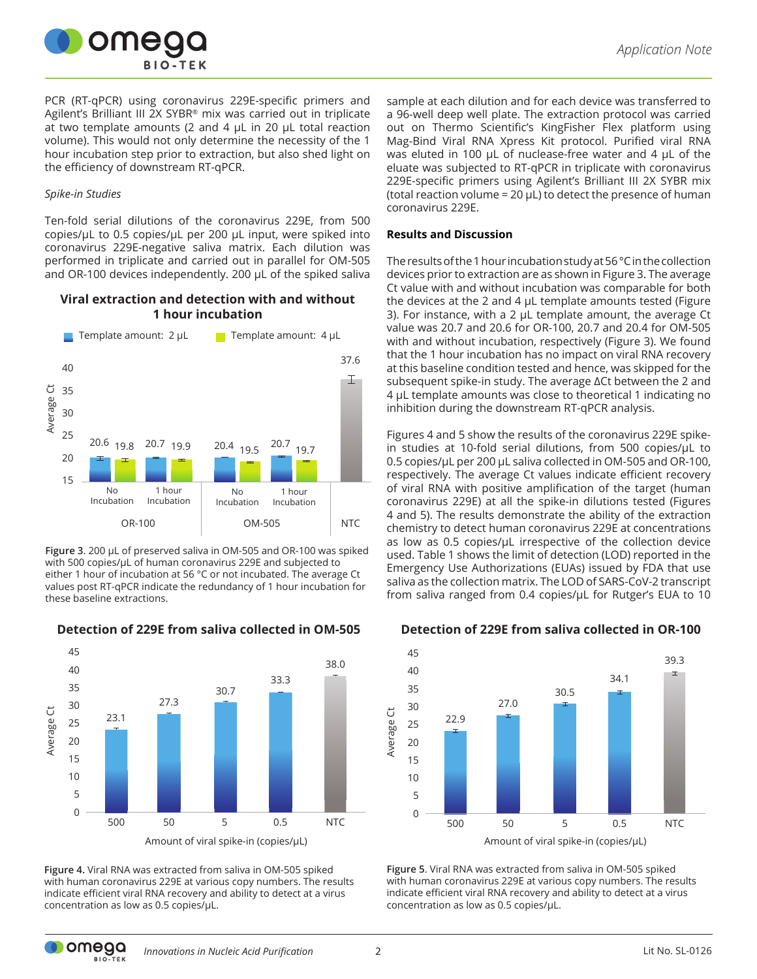

PCR (RT-qPCR) using coronavirus 229E-specific primers and Agilent's Brilliant III 2X SYBR® mix was carried out in triplicate at two template amounts (2 and 4 μL in 20 μL total reaction volume). This would not only determine the necessity of the 1 hour incubation step prior to extraction, but also shed light on the efficiency of downstream RT-qPCR.

#### *Spike-in Studies*

Ten-fold serial dilutions of the coronavirus 229E, from 500 copies/µL to 0.5 copies/µL per 200 µL input, were spiked into coronavirus 229E-negative saliva matrix. Each dilution was performed in triplicate and carried out in parallel for OM-505 and OR-100 devices independently. 200 μL of the spiked saliva

# **Viral extraction and detection with and without 1 hour incubation**



**Figure 3**. 200 µL of preserved saliva in OM-505 and OR-100 was spiked with 500 copies/µL of human coronavirus 229E and subjected to either 1 hour of incubation at 56 °C or not incubated. The average Ct values post RT-qPCR indicate the redundancy of 1 hour incubation for these baseline extractions.

**Detection of 229E from saliva collected in OM-505**



**Figure 4.** Viral RNA was extracted from saliva in OM-505 spiked with human coronavirus 229E at various copy numbers. The results indicate efficient viral RNA recovery and ability to detect at a virus concentration as low as 0.5 copies/µL.

sample at each dilution and for each device was transferred to a 96-well deep well plate. The extraction protocol was carried out on Thermo Scientific's KingFisher Flex platform using Mag-Bind Viral RNA Xpress Kit protocol. Purified viral RNA was eluted in 100 µL of nuclease-free water and 4 µL of the eluate was subjected to RT-qPCR in triplicate with coronavirus 229E-specific primers using Agilent's Brilliant III 2X SYBR mix (total reaction volume =  $20 \mu L$ ) to detect the presence of human coronavirus 229E.

#### **Results and Discussion**

The results of the 1 hour incubation study at 56 °C in the collection devices prior to extraction are as shown in Figure 3. The average Ct value with and without incubation was comparable for both the devices at the 2 and 4  $\mu$ L template amounts tested (Figure 3). For instance, with a 2 µL template amount, the average Ct value was 20.7 and 20.6 for OR-100, 20.7 and 20.4 for OM-505 with and without incubation, respectively (Figure 3). We found that the 1 hour incubation has no impact on viral RNA recovery at this baseline condition tested and hence, was skipped for the subsequent spike-in study. The average ΔCt between the 2 and 4 µL template amounts was close to theoretical 1 indicating no inhibition during the downstream RT-qPCR analysis.

Figures 4 and 5 show the results of the coronavirus 229E spikein studies at 10-fold serial dilutions, from 500 copies/µL to 0.5 copies/µL per 200 µL saliva collected in OM-505 and OR-100, respectively. The average Ct values indicate efficient recovery of viral RNA with positive amplification of the target (human coronavirus 229E) at all the spike-in dilutions tested (Figures 4 and 5). The results demonstrate the ability of the extraction chemistry to detect human coronavirus 229E at concentrations as low as 0.5 copies/µL irrespective of the collection device used. Table 1 shows the limit of detection (LOD) reported in the Emergency Use Authorizations (EUAs) issued by FDA that use saliva as the collection matrix. The LOD of SARS-CoV-2 transcript from saliva ranged from 0.4 copies/µL for Rutger's EUA to 10

# **Detection of 229E from saliva collected in OR-100**



**Figure 5**. Viral RNA was extracted from saliva in OM-505 spiked with human coronavirus 229E at various copy numbers. The results indicate efficient viral RNA recovery and ability to detect at a virus concentration as low as 0.5 copies/µL.